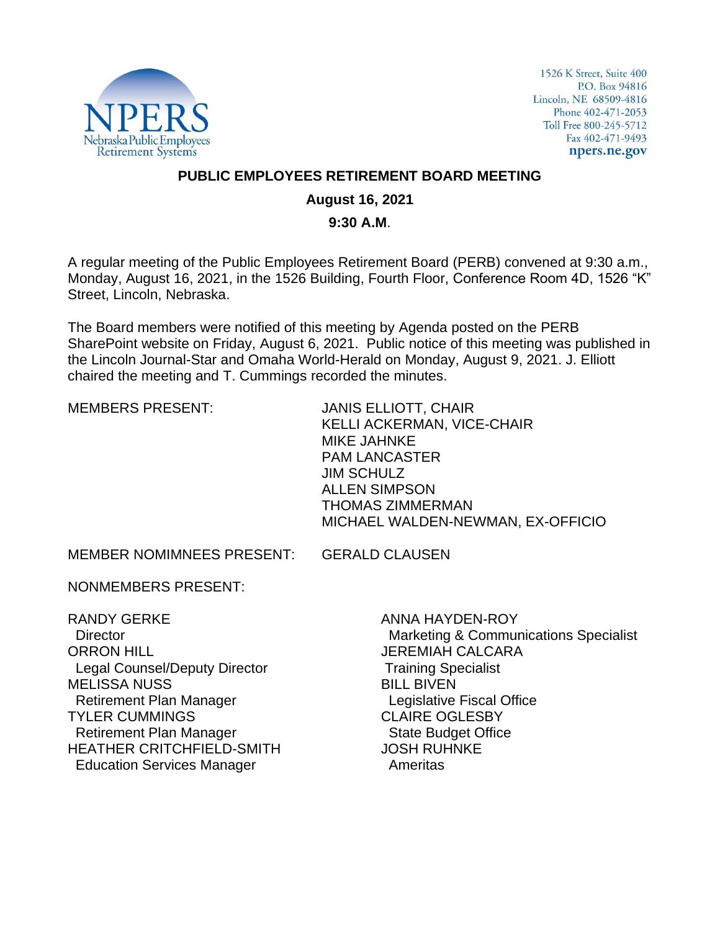

1526 K Street, Suite 400 P.O. Box 94816 Lincoln, NE 68509-4816 Phone 402-471-2053 Toll Free 800-245-5712 Fax 402-471-9493 npers.ne.gov

## **PUBLIC EMPLOYEES RETIREMENT BOARD MEETING**

## **August 16, 2021**

#### **9:30 A.M**.

A regular meeting of the Public Employees Retirement Board (PERB) convened at 9:30 a.m., Monday, August 16, 2021, in the 1526 Building, Fourth Floor, Conference Room 4D, 1526 "K" Street, Lincoln, Nebraska.

The Board members were notified of this meeting by Agenda posted on the PERB SharePoint website on Friday, August 6, 2021. Public notice of this meeting was published in the Lincoln Journal-Star and Omaha World-Herald on Monday, August 9, 2021. J. Elliott chaired the meeting and T. Cummings recorded the minutes.

MEMBERS PRESENT: JANIS ELLIOTT, CHAIR KELLI ACKERMAN, VICE-CHAIR MIKE JAHNKE PAM LANCASTER JIM SCHULZ ALLEN SIMPSON THOMAS ZIMMERMAN MICHAEL WALDEN-NEWMAN, EX-OFFICIO

MEMBER NOMIMNEES PRESENT: GERALD CLAUSEN

NONMEMBERS PRESENT:

RANDY GERKE **Director** ORRON HILL Legal Counsel/Deputy Director MELISSA NUSS Retirement Plan Manager TYLER CUMMINGS Retirement Plan Manager HEATHER CRITCHFIELD-SMITH Education Services Manager

ANNA HAYDEN-ROY Marketing & Communications Specialist JEREMIAH CALCARA Training Specialist BILL BIVEN Legislative Fiscal Office CLAIRE OGLESBY State Budget Office JOSH RUHNKE Ameritas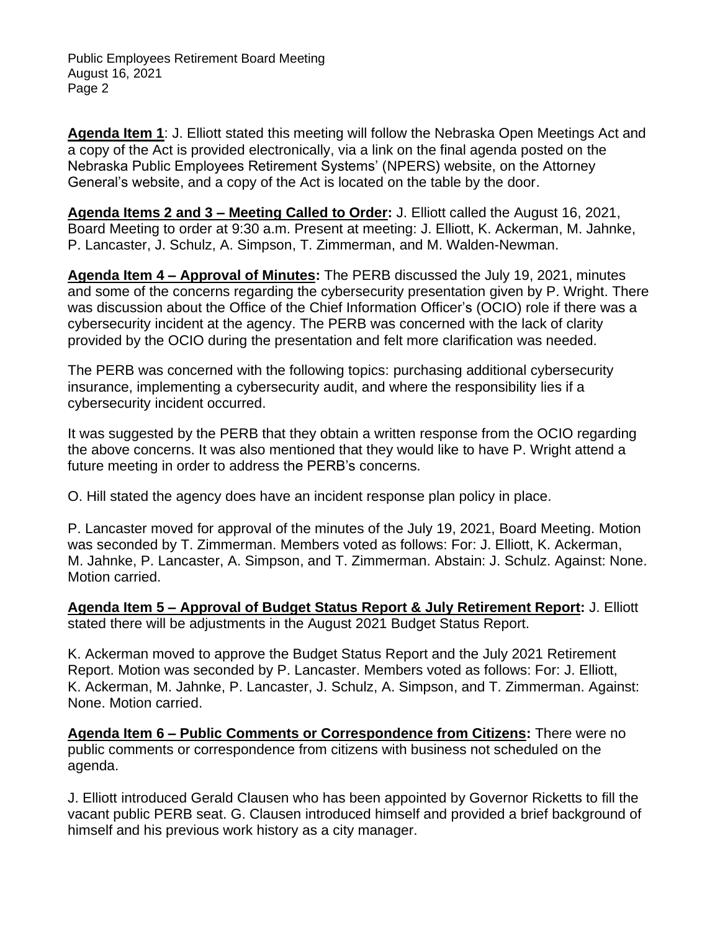**Agenda Item 1**: J. Elliott stated this meeting will follow the Nebraska Open Meetings Act and a copy of the Act is provided electronically, via a link on the final agenda posted on the Nebraska Public Employees Retirement Systems' (NPERS) website, on the Attorney General's website, and a copy of the Act is located on the table by the door.

**Agenda Items 2 and 3 – Meeting Called to Order:** J. Elliott called the August 16, 2021, Board Meeting to order at 9:30 a.m. Present at meeting: J. Elliott, K. Ackerman, M. Jahnke, P. Lancaster, J. Schulz, A. Simpson, T. Zimmerman, and M. Walden-Newman.

**Agenda Item 4 – Approval of Minutes:** The PERB discussed the July 19, 2021, minutes and some of the concerns regarding the cybersecurity presentation given by P. Wright. There was discussion about the Office of the Chief Information Officer's (OCIO) role if there was a cybersecurity incident at the agency. The PERB was concerned with the lack of clarity provided by the OCIO during the presentation and felt more clarification was needed.

The PERB was concerned with the following topics: purchasing additional cybersecurity insurance, implementing a cybersecurity audit, and where the responsibility lies if a cybersecurity incident occurred.

It was suggested by the PERB that they obtain a written response from the OCIO regarding the above concerns. It was also mentioned that they would like to have P. Wright attend a future meeting in order to address the PERB's concerns.

O. Hill stated the agency does have an incident response plan policy in place.

P. Lancaster moved for approval of the minutes of the July 19, 2021, Board Meeting. Motion was seconded by T. Zimmerman. Members voted as follows: For: J. Elliott, K. Ackerman, M. Jahnke, P. Lancaster, A. Simpson, and T. Zimmerman. Abstain: J. Schulz. Against: None. Motion carried.

**Agenda Item 5 – Approval of Budget Status Report & July Retirement Report:** J. Elliott stated there will be adjustments in the August 2021 Budget Status Report.

K. Ackerman moved to approve the Budget Status Report and the July 2021 Retirement Report. Motion was seconded by P. Lancaster. Members voted as follows: For: J. Elliott, K. Ackerman, M. Jahnke, P. Lancaster, J. Schulz, A. Simpson, and T. Zimmerman. Against: None. Motion carried.

**Agenda Item 6 – Public Comments or Correspondence from Citizens:** There were no public comments or correspondence from citizens with business not scheduled on the agenda.

J. Elliott introduced Gerald Clausen who has been appointed by Governor Ricketts to fill the vacant public PERB seat. G. Clausen introduced himself and provided a brief background of himself and his previous work history as a city manager.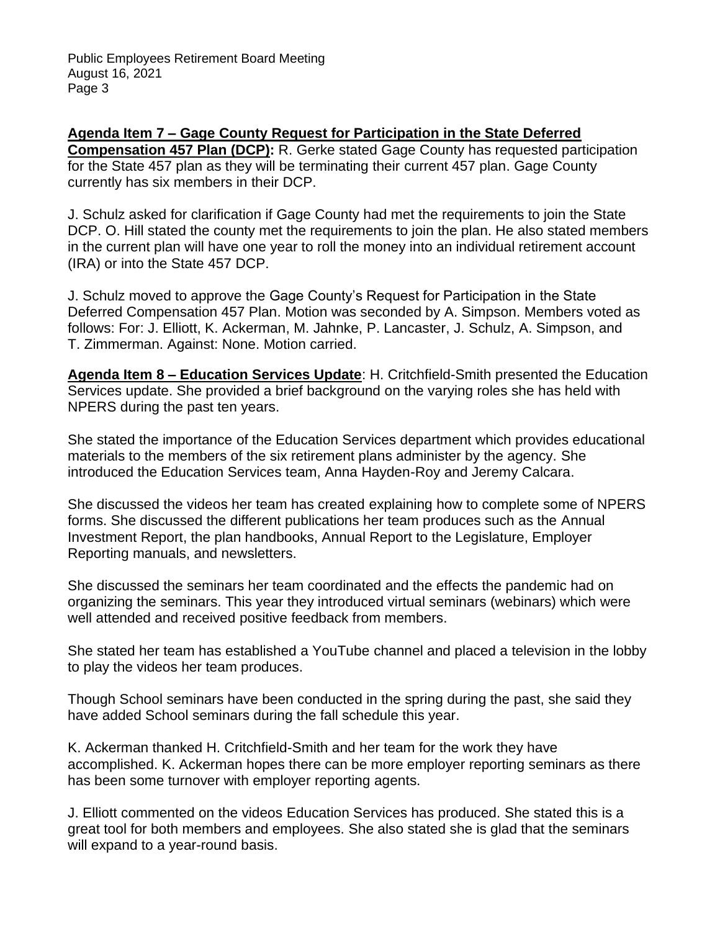**Agenda Item 7 – Gage County Request for Participation in the State Deferred Compensation 457 Plan (DCP):** R. Gerke stated Gage County has requested participation for the State 457 plan as they will be terminating their current 457 plan. Gage County currently has six members in their DCP.

J. Schulz asked for clarification if Gage County had met the requirements to join the State DCP. O. Hill stated the county met the requirements to join the plan. He also stated members in the current plan will have one year to roll the money into an individual retirement account (IRA) or into the State 457 DCP.

J. Schulz moved to approve the Gage County's Request for Participation in the State Deferred Compensation 457 Plan. Motion was seconded by A. Simpson. Members voted as follows: For: J. Elliott, K. Ackerman, M. Jahnke, P. Lancaster, J. Schulz, A. Simpson, and T. Zimmerman. Against: None. Motion carried.

**Agenda Item 8 – Education Services Update**: H. Critchfield-Smith presented the Education Services update. She provided a brief background on the varying roles she has held with NPERS during the past ten years.

She stated the importance of the Education Services department which provides educational materials to the members of the six retirement plans administer by the agency. She introduced the Education Services team, Anna Hayden-Roy and Jeremy Calcara.

She discussed the videos her team has created explaining how to complete some of NPERS forms. She discussed the different publications her team produces such as the Annual Investment Report, the plan handbooks, Annual Report to the Legislature, Employer Reporting manuals, and newsletters.

She discussed the seminars her team coordinated and the effects the pandemic had on organizing the seminars. This year they introduced virtual seminars (webinars) which were well attended and received positive feedback from members.

She stated her team has established a YouTube channel and placed a television in the lobby to play the videos her team produces.

Though School seminars have been conducted in the spring during the past, she said they have added School seminars during the fall schedule this year.

K. Ackerman thanked H. Critchfield-Smith and her team for the work they have accomplished. K. Ackerman hopes there can be more employer reporting seminars as there has been some turnover with employer reporting agents.

J. Elliott commented on the videos Education Services has produced. She stated this is a great tool for both members and employees. She also stated she is glad that the seminars will expand to a year-round basis.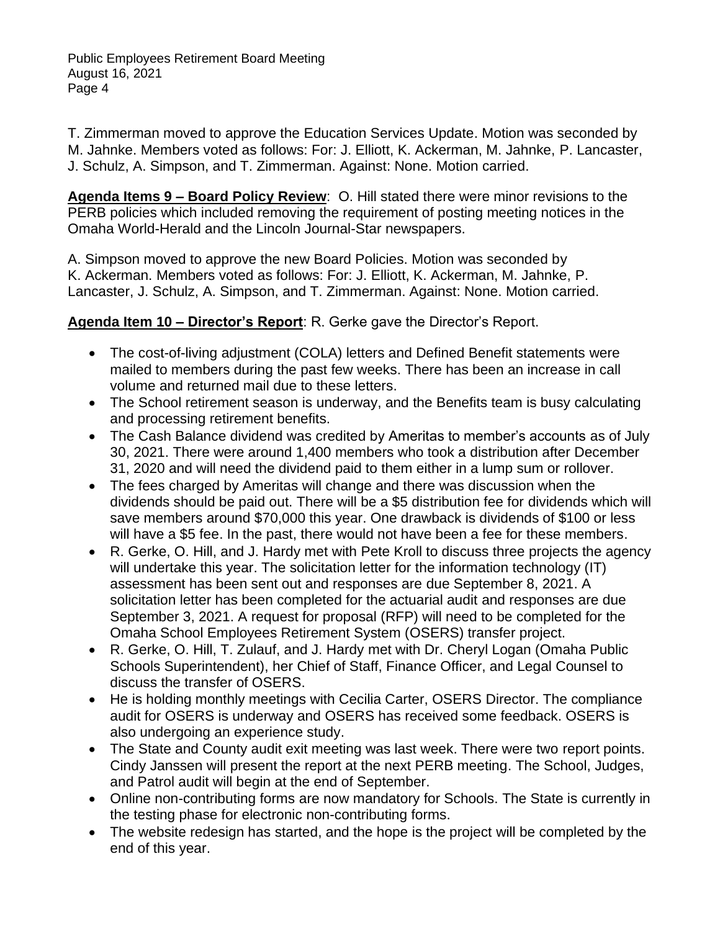T. Zimmerman moved to approve the Education Services Update. Motion was seconded by M. Jahnke. Members voted as follows: For: J. Elliott, K. Ackerman, M. Jahnke, P. Lancaster, J. Schulz, A. Simpson, and T. Zimmerman. Against: None. Motion carried.

**Agenda Items 9 – Board Policy Review**: O. Hill stated there were minor revisions to the PERB policies which included removing the requirement of posting meeting notices in the Omaha World-Herald and the Lincoln Journal-Star newspapers.

A. Simpson moved to approve the new Board Policies. Motion was seconded by K. Ackerman. Members voted as follows: For: J. Elliott, K. Ackerman, M. Jahnke, P. Lancaster, J. Schulz, A. Simpson, and T. Zimmerman. Against: None. Motion carried.

**Agenda Item 10 – Director's Report**: R. Gerke gave the Director's Report.

- The cost-of-living adjustment (COLA) letters and Defined Benefit statements were mailed to members during the past few weeks. There has been an increase in call volume and returned mail due to these letters.
- The School retirement season is underway, and the Benefits team is busy calculating and processing retirement benefits.
- The Cash Balance dividend was credited by Ameritas to member's accounts as of July 30, 2021. There were around 1,400 members who took a distribution after December 31, 2020 and will need the dividend paid to them either in a lump sum or rollover.
- The fees charged by Ameritas will change and there was discussion when the dividends should be paid out. There will be a \$5 distribution fee for dividends which will save members around \$70,000 this year. One drawback is dividends of \$100 or less will have a \$5 fee. In the past, there would not have been a fee for these members.
- R. Gerke, O. Hill, and J. Hardy met with Pete Kroll to discuss three projects the agency will undertake this year. The solicitation letter for the information technology (IT) assessment has been sent out and responses are due September 8, 2021. A solicitation letter has been completed for the actuarial audit and responses are due September 3, 2021. A request for proposal (RFP) will need to be completed for the Omaha School Employees Retirement System (OSERS) transfer project.
- R. Gerke, O. Hill, T. Zulauf, and J. Hardy met with Dr. Cheryl Logan (Omaha Public Schools Superintendent), her Chief of Staff, Finance Officer, and Legal Counsel to discuss the transfer of OSERS.
- He is holding monthly meetings with Cecilia Carter, OSERS Director. The compliance audit for OSERS is underway and OSERS has received some feedback. OSERS is also undergoing an experience study.
- The State and County audit exit meeting was last week. There were two report points. Cindy Janssen will present the report at the next PERB meeting. The School, Judges, and Patrol audit will begin at the end of September.
- Online non-contributing forms are now mandatory for Schools. The State is currently in the testing phase for electronic non-contributing forms.
- The website redesign has started, and the hope is the project will be completed by the end of this year.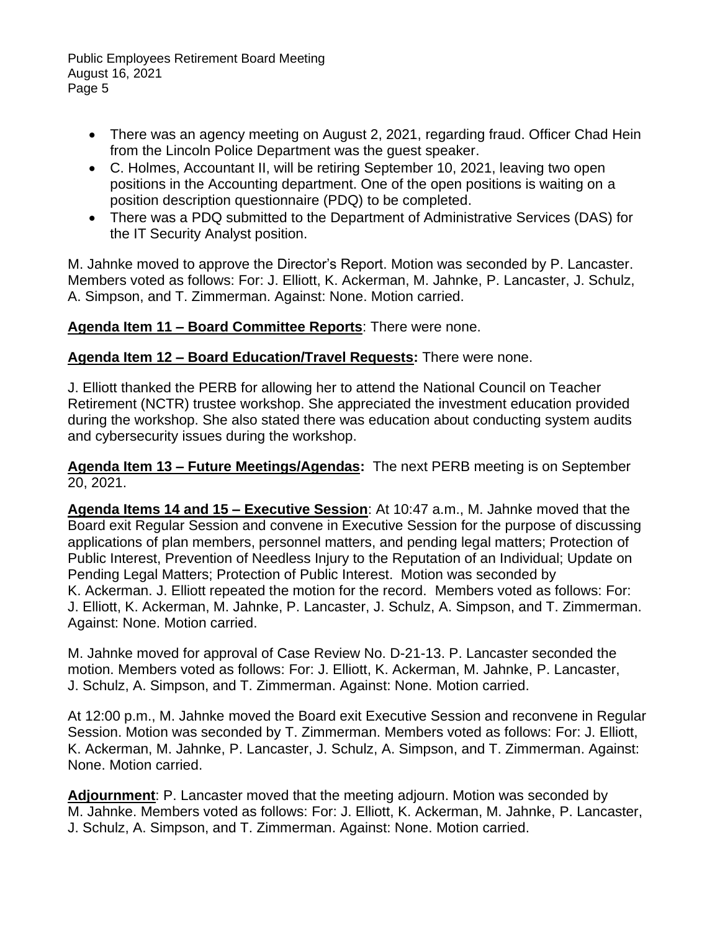- There was an agency meeting on August 2, 2021, regarding fraud. Officer Chad Hein from the Lincoln Police Department was the guest speaker.
- C. Holmes, Accountant II, will be retiring September 10, 2021, leaving two open positions in the Accounting department. One of the open positions is waiting on a position description questionnaire (PDQ) to be completed.
- There was a PDQ submitted to the Department of Administrative Services (DAS) for the IT Security Analyst position.

M. Jahnke moved to approve the Director's Report. Motion was seconded by P. Lancaster. Members voted as follows: For: J. Elliott, K. Ackerman, M. Jahnke, P. Lancaster, J. Schulz, A. Simpson, and T. Zimmerman. Against: None. Motion carried.

# **Agenda Item 11 – Board Committee Reports**: There were none.

# **Agenda Item 12 – Board Education/Travel Requests:** There were none.

J. Elliott thanked the PERB for allowing her to attend the National Council on Teacher Retirement (NCTR) trustee workshop. She appreciated the investment education provided during the workshop. She also stated there was education about conducting system audits and cybersecurity issues during the workshop.

**Agenda Item 13 – Future Meetings/Agendas:** The next PERB meeting is on September 20, 2021.

**Agenda Items 14 and 15 – Executive Session**: At 10:47 a.m., M. Jahnke moved that the Board exit Regular Session and convene in Executive Session for the purpose of discussing applications of plan members, personnel matters, and pending legal matters; Protection of Public Interest, Prevention of Needless Injury to the Reputation of an Individual; Update on Pending Legal Matters; Protection of Public Interest. Motion was seconded by K. Ackerman. J. Elliott repeated the motion for the record. Members voted as follows: For: J. Elliott, K. Ackerman, M. Jahnke, P. Lancaster, J. Schulz, A. Simpson, and T. Zimmerman. Against: None. Motion carried.

M. Jahnke moved for approval of Case Review No. D-21-13. P. Lancaster seconded the motion. Members voted as follows: For: J. Elliott, K. Ackerman, M. Jahnke, P. Lancaster, J. Schulz, A. Simpson, and T. Zimmerman. Against: None. Motion carried.

At 12:00 p.m., M. Jahnke moved the Board exit Executive Session and reconvene in Regular Session. Motion was seconded by T. Zimmerman. Members voted as follows: For: J. Elliott, K. Ackerman, M. Jahnke, P. Lancaster, J. Schulz, A. Simpson, and T. Zimmerman. Against: None. Motion carried.

**Adjournment**: P. Lancaster moved that the meeting adjourn. Motion was seconded by M. Jahnke. Members voted as follows: For: J. Elliott, K. Ackerman, M. Jahnke, P. Lancaster, J. Schulz, A. Simpson, and T. Zimmerman. Against: None. Motion carried.